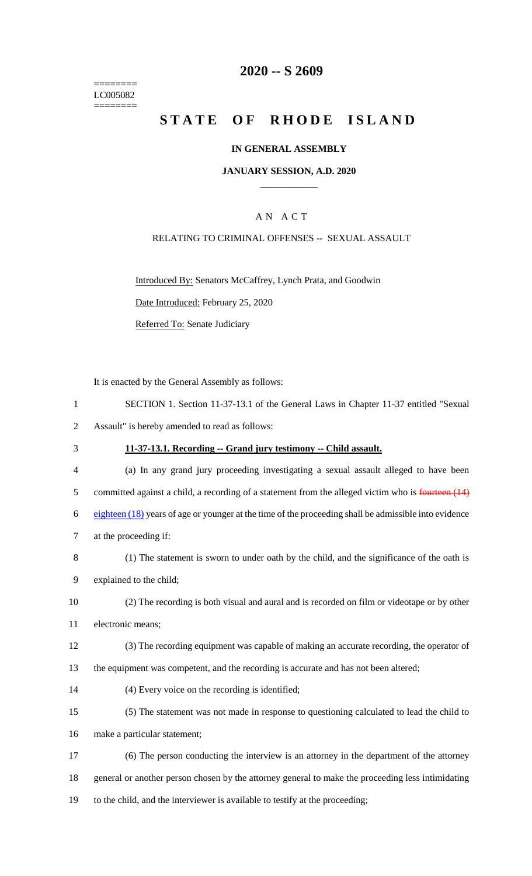======== LC005082 ========

### **2020 -- S 2609**

# **STATE OF RHODE ISLAND**

#### **IN GENERAL ASSEMBLY**

#### **JANUARY SESSION, A.D. 2020 \_\_\_\_\_\_\_\_\_\_\_\_**

### A N A C T

#### RELATING TO CRIMINAL OFFENSES -- SEXUAL ASSAULT

Introduced By: Senators McCaffrey, Lynch Prata, and Goodwin Date Introduced: February 25, 2020

Referred To: Senate Judiciary

It is enacted by the General Assembly as follows:

|                | SECTION 1. Section 11-37-13.1 of the General Laws in Chapter 11-37 entitled "Sexual"               |
|----------------|----------------------------------------------------------------------------------------------------|
|                | Assault" is hereby amended to read as follows:                                                     |
| 3              | 11-37-13.1. Recording -- Grand jury testimony -- Child assault.                                    |
| $\overline{4}$ | (a) In any grand jury proceeding investigating a sexual assault alleged to have been               |
| 5              | committed against a child, a recording of a statement from the alleged victim who is fourteen (14) |
|                |                                                                                                    |

6 eighteen (18) years of age or younger at the time of the proceeding shall be admissible into evidence 7 at the proceeding if:

8 (1) The statement is sworn to under oath by the child, and the significance of the oath is

9 explained to the child;

- 10 (2) The recording is both visual and aural and is recorded on film or videotape or by other 11 electronic means;
- 12 (3) The recording equipment was capable of making an accurate recording, the operator of
- 13 the equipment was competent, and the recording is accurate and has not been altered;
- 14 (4) Every voice on the recording is identified;
- 15 (5) The statement was not made in response to questioning calculated to lead the child to 16 make a particular statement;
- 17 (6) The person conducting the interview is an attorney in the department of the attorney 18 general or another person chosen by the attorney general to make the proceeding less intimidating 19 to the child, and the interviewer is available to testify at the proceeding;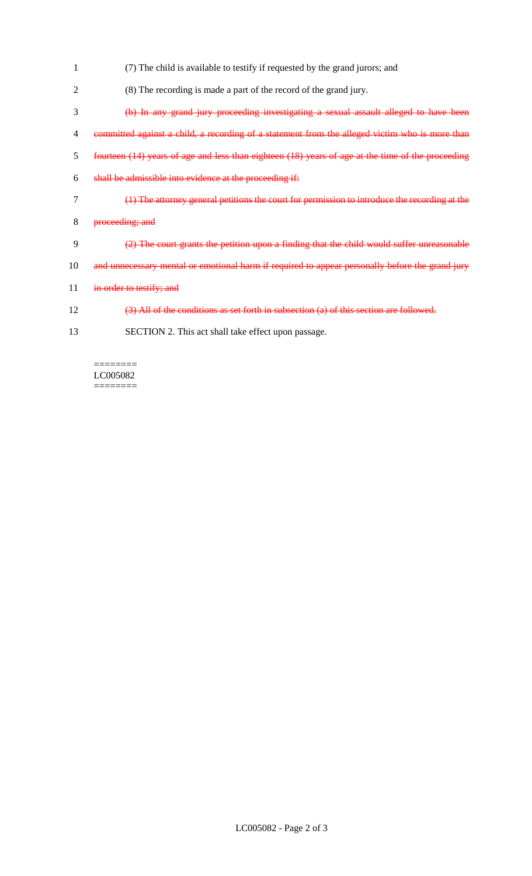- (7) The child is available to testify if requested by the grand jurors; and
- (8) The recording is made a part of the record of the grand jury.
- (b) In any grand jury proceeding investigating a sexual assault alleged to have been
- committed against a child, a recording of a statement from the alleged victim who is more than
- fourteen (14) years of age and less than eighteen (18) years of age at the time of the proceeding
- shall be admissible into evidence at the proceeding if:
- (1) The attorney general petitions the court for permission to introduce the recording at the
- proceeding; and
- (2) The court grants the petition upon a finding that the child would suffer unreasonable
- 10 and unnecessary mental or emotional harm if required to appear personally before the grand jury
- 11 in order to testify; and
- (3) All of the conditions as set forth in subsection (a) of this section are followed.
- SECTION 2. This act shall take effect upon passage.

LC005082  $=$ 

 $=$